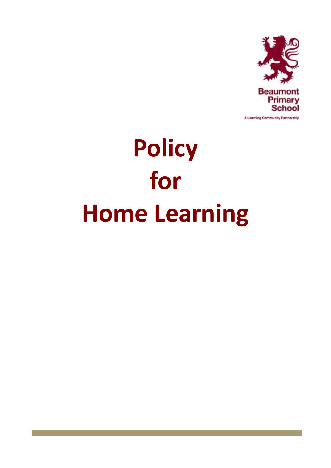

A Learning Community Partnership

# **Policy for Home Learning**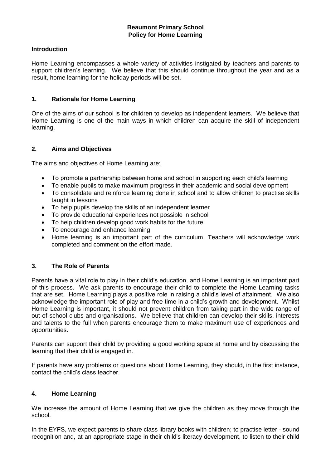#### **Introduction**

Home Learning encompasses a whole variety of activities instigated by teachers and parents to support children's learning. We believe that this should continue throughout the year and as a result, home learning for the holiday periods will be set.

#### **1. Rationale for Home Learning**

One of the aims of our school is for children to develop as independent learners. We believe that Home Learning is one of the main ways in which children can acquire the skill of independent learning.

#### **2. Aims and Objectives**

The aims and objectives of Home Learning are:

- To promote a partnership between home and school in supporting each child's learning
- To enable pupils to make maximum progress in their academic and social development
- To consolidate and reinforce learning done in school and to allow children to practise skills taught in lessons
- To help pupils develop the skills of an independent learner
- To provide educational experiences not possible in school
- To help children develop good work habits for the future
- To encourage and enhance learning
- Home learning is an important part of the curriculum. Teachers will acknowledge work completed and comment on the effort made.

## **3. The Role of Parents**

Parents have a vital role to play in their child's education, and Home Learning is an important part of this process. We ask parents to encourage their child to complete the Home Learning tasks that are set. Home Learning plays a positive role in raising a child's level of attainment. We also acknowledge the important role of play and free time in a child's growth and development. Whilst Home Learning is important, it should not prevent children from taking part in the wide range of out-of-school clubs and organisations. We believe that children can develop their skills, interests and talents to the full when parents encourage them to make maximum use of experiences and opportunities.

Parents can support their child by providing a good working space at home and by discussing the learning that their child is engaged in.

If parents have any problems or questions about Home Learning, they should, in the first instance, contact the child's class teacher.

#### **4. Home Learning**

We increase the amount of Home Learning that we give the children as they move through the school.

In the EYFS, we expect parents to share class library books with children; to practise letter - sound recognition and, at an appropriate stage in their child's literacy development, to listen to their child